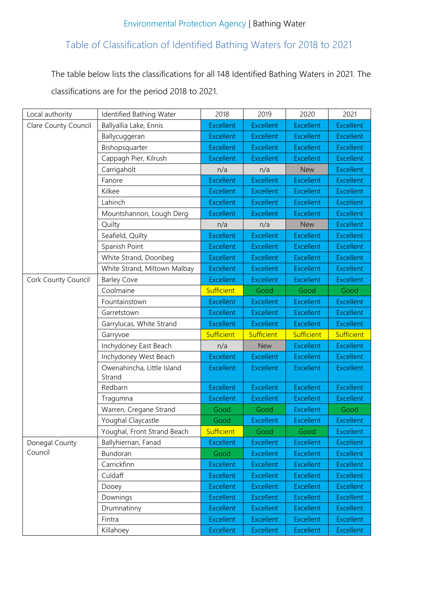## Table of Classification of Identified Bathing Waters for 2018 to 2021

The table below lists the classifications for all 148 Identified Bathing Waters in 2021. The classifications are for the period 2018 to 2021.

| Local authority      | Identified Bathing Water             | 2018              | 2019             | 2020             | 2021             |
|----------------------|--------------------------------------|-------------------|------------------|------------------|------------------|
| Clare County Council | Ballyallia Lake, Ennis               | <b>Excellent</b>  | <b>Excellent</b> | <b>Excellent</b> | <b>Excellent</b> |
|                      | Ballycuggeran                        | <b>Excellent</b>  | <b>Excellent</b> | <b>Excellent</b> | <b>Excellent</b> |
|                      | Bishopsquarter                       | <b>Excellent</b>  | <b>Excellent</b> | <b>Excellent</b> | <b>Excellent</b> |
|                      | Cappagh Pier, Kilrush                | Excellent         | <b>Excellent</b> | <b>Excellent</b> | <b>Excellent</b> |
|                      | Carrigaholt                          | n/a               | n/a              | <b>New</b>       | <b>Excellent</b> |
|                      | Fanore                               | <b>Excellent</b>  | <b>Excellent</b> | <b>Excellent</b> | <b>Excellent</b> |
|                      | Kilkee                               | <b>Excellent</b>  | <b>Excellent</b> | <b>Excellent</b> | <b>Excellent</b> |
|                      | Lahinch                              | <b>Excellent</b>  | <b>Excellent</b> | <b>Excellent</b> | <b>Excellent</b> |
|                      | Mountshannon, Lough Derg             | <b>Excellent</b>  | <b>Excellent</b> | <b>Excellent</b> | <b>Excellent</b> |
|                      | Quilty                               | n/a               | n/a              | <b>New</b>       | <b>Excellent</b> |
|                      | Seafield, Quilty                     | <b>Excellent</b>  | <b>Excellent</b> | <b>Excellent</b> | <b>Excellent</b> |
|                      | Spanish Point                        | <b>Excellent</b>  | <b>Excellent</b> | <b>Excellent</b> | <b>Excellent</b> |
|                      | White Strand, Doonbeg                | <b>Excellent</b>  | <b>Excellent</b> | <b>Excellent</b> | <b>Excellent</b> |
|                      | White Strand, Miltown Malbay         | <b>Excellent</b>  | <b>Excellent</b> | <b>Excellent</b> | <b>Excellent</b> |
| Cork County Council  | <b>Barley Cove</b>                   | <b>Excellent</b>  | <b>Excellent</b> | <b>Excellent</b> | <b>Excellent</b> |
|                      | Coolmaine                            | <b>Sufficient</b> | Good             | Good             | Good             |
|                      | Fountainstown                        | <b>Excellent</b>  | <b>Excellent</b> | <b>Excellent</b> | <b>Excellent</b> |
|                      | Garretstown                          | <b>Excellent</b>  | <b>Excellent</b> | <b>Excellent</b> | <b>Excellent</b> |
|                      | Garrylucas, White Strand             | <b>Excellent</b>  | <b>Excellent</b> | <b>Excellent</b> | <b>Excellent</b> |
|                      | Garryvoe                             | <b>Sufficient</b> | Sufficient       | Sufficient       | Sufficient       |
|                      | Inchydoney East Beach                | n/a               | <b>New</b>       | <b>Excellent</b> | <b>Excellent</b> |
|                      | Inchydoney West Beach                | <b>Excellent</b>  | <b>Excellent</b> | <b>Excellent</b> | <b>Excellent</b> |
|                      | Owenahincha, Little Island<br>Strand | <b>Excellent</b>  | <b>Excellent</b> | <b>Excellent</b> | <b>Excellent</b> |
|                      | Redbarn                              | <b>Excellent</b>  | <b>Excellent</b> | <b>Excellent</b> | <b>Excellent</b> |
|                      | Tragumna                             | <b>Excellent</b>  | <b>Excellent</b> | <b>Excellent</b> | <b>Excellent</b> |
|                      | Warren, Cregane Strand               | Good              | Good             | <b>Excellent</b> | Good             |
|                      | Youghal Claycastle                   | Good              | <b>Excellent</b> | <b>Excellent</b> | <b>Excellent</b> |
|                      | Youghal, Front Strand Beach          | Sufficient        | Good             | Good             | <b>Excellent</b> |
| Donegal County       | Ballyhiernan, Fanad                  | <b>Excellent</b>  | <b>Excellent</b> | <b>Excellent</b> | <b>Excellent</b> |
| Council              | Bundoran                             | Good              | <b>Excellent</b> | <b>Excellent</b> | <b>Excellent</b> |
|                      | Carrickfinn                          | <b>Excellent</b>  | <b>Excellent</b> | <b>Excellent</b> | <b>Excellent</b> |
|                      | Culdaff                              | <b>Excellent</b>  | <b>Excellent</b> | <b>Excellent</b> | <b>Excellent</b> |
|                      | Dooey                                | <b>Excellent</b>  | <b>Excellent</b> | <b>Excellent</b> | <b>Excellent</b> |
|                      | Downings                             | <b>Excellent</b>  | <b>Excellent</b> | <b>Excellent</b> | <b>Excellent</b> |
|                      | Drumnatinny                          | <b>Excellent</b>  | <b>Excellent</b> | <b>Excellent</b> | <b>Excellent</b> |
|                      | Fintra                               | <b>Excellent</b>  | <b>Excellent</b> | <b>Excellent</b> | <b>Excellent</b> |
|                      | Killahoey                            | <b>Excellent</b>  | <b>Excellent</b> | <b>Excellent</b> | <b>Excellent</b> |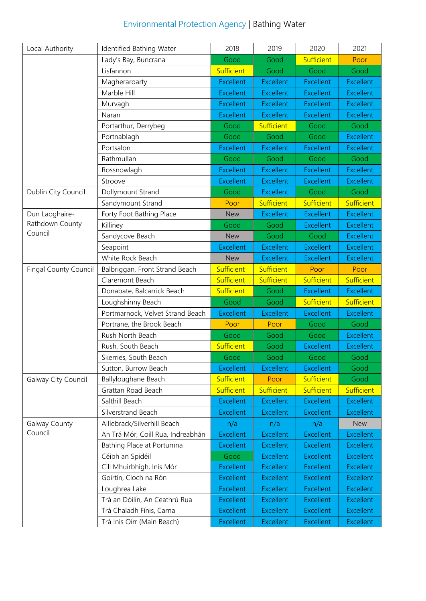| <b>Environmental Protection Agency   Bathing Water</b> |  |
|--------------------------------------------------------|--|
|--------------------------------------------------------|--|

| Local Authority              | Identified Bathing Water          | 2018              | 2019              | 2020             | 2021             |
|------------------------------|-----------------------------------|-------------------|-------------------|------------------|------------------|
|                              | Lady's Bay, Buncrana              | Good              | Good              | Sufficient       | Poor             |
|                              | Lisfannon                         | <b>Sufficient</b> | Good              | Good             | Good             |
|                              | Magheraroarty                     | <b>Excellent</b>  | <b>Excellent</b>  | <b>Excellent</b> | <b>Excellent</b> |
|                              | Marble Hill                       | <b>Excellent</b>  | <b>Excellent</b>  | <b>Excellent</b> | <b>Excellent</b> |
|                              | Murvagh                           | <b>Excellent</b>  | <b>Excellent</b>  | <b>Excellent</b> | <b>Excellent</b> |
|                              | Naran                             | <b>Excellent</b>  | <b>Excellent</b>  | <b>Excellent</b> | <b>Excellent</b> |
|                              | Portarthur, Derrybeg              | Good              | Sufficient        | Good             | Good             |
|                              | Portnablagh                       | Good              | Good              | Good             | <b>Excellent</b> |
|                              | Portsalon                         | <b>Excellent</b>  | <b>Excellent</b>  | <b>Excellent</b> | <b>Excellent</b> |
|                              | Rathmullan                        | Good              | Good              | Good             | Good             |
|                              | Rossnowlagh                       | <b>Excellent</b>  | <b>Excellent</b>  | <b>Excellent</b> | <b>Excellent</b> |
|                              | Stroove                           | <b>Excellent</b>  | <b>Excellent</b>  | <b>Excellent</b> | <b>Excellent</b> |
| Dublin City Council          | Dollymount Strand                 | Good              | <b>Excellent</b>  | Good             | Good             |
|                              | Sandymount Strand                 | Poor              | Sufficient        | Sufficient       | Sufficient       |
| Dun Laoghaire-               | Forty Foot Bathing Place          | <b>New</b>        | <b>Excellent</b>  | <b>Excellent</b> | <b>Excellent</b> |
| Rathdown County              | Killiney                          | Good              | Good              | <b>Excellent</b> | <b>Excellent</b> |
| Council                      | Sandycove Beach                   | <b>New</b>        | Good              | Good             | <b>Excellent</b> |
|                              | Seapoint                          | <b>Excellent</b>  | <b>Excellent</b>  | <b>Excellent</b> | <b>Excellent</b> |
|                              | White Rock Beach                  | <b>New</b>        | <b>Excellent</b>  | <b>Excellent</b> | <b>Excellent</b> |
| <b>Fingal County Council</b> | Balbriggan, Front Strand Beach    | Sufficient        | <b>Sufficient</b> | Poor             | Poor             |
|                              | Claremont Beach                   | Sufficient        | Sufficient        | Sufficient       | Sufficient       |
|                              | Donabate, Balcarrick Beach        | <b>Sufficient</b> | Good              | <b>Excellent</b> | <b>Excellent</b> |
|                              | Loughshinny Beach                 | Good              | Good              | Sufficient       | Sufficient       |
|                              | Portmarnock, Velvet Strand Beach  | <b>Excellent</b>  | <b>Excellent</b>  | <b>Excellent</b> | <b>Excellent</b> |
|                              | Portrane, the Brook Beach         | Poor              | Poor              | Good             | Good             |
|                              | Rush North Beach                  | Good              | Good              | Good             | <b>Excellent</b> |
|                              | Rush, South Beach                 | <b>Sufficient</b> | Good              | <b>Excellent</b> | <b>Excellent</b> |
|                              | Skerries, South Beach             | Good              | Good              | Good             | Good             |
|                              | Sutton, Burrow Beach              | <b>Excellent</b>  | <b>Excellent</b>  | <b>Excellent</b> | Good             |
| Galway City Council          | Ballyloughane Beach               | Sufficient        | Poor              | Sufficient       | Good             |
|                              | Grattan Road Beach                | <b>Sufficient</b> | <b>Sufficient</b> | Sufficient       | Sufficient       |
|                              | Salthill Beach                    | <b>Excellent</b>  | <b>Excellent</b>  | <b>Excellent</b> | <b>Excellent</b> |
|                              | Silverstrand Beach                | <b>Excellent</b>  | <b>Excellent</b>  | <b>Excellent</b> | <b>Excellent</b> |
| Galway County                | Aillebrack/Silverhill Beach       | n/a               | n/a               | n/a              | <b>New</b>       |
| Council                      | An Trá Mór, Coill Rua, Indreabhán | <b>Excellent</b>  | <b>Excellent</b>  | <b>Excellent</b> | <b>Excellent</b> |
|                              | Bathing Place at Portumna         | <b>Excellent</b>  | <b>Excellent</b>  | <b>Excellent</b> | <b>Excellent</b> |
|                              | Céibh an Spidéil                  | Good              | <b>Excellent</b>  | <b>Excellent</b> | <b>Excellent</b> |
|                              | Cill Mhuirbhigh, Inis Mór         | <b>Excellent</b>  | <b>Excellent</b>  | <b>Excellent</b> | <b>Excellent</b> |
|                              | Goirtín, Cloch na Rón             | <b>Excellent</b>  | <b>Excellent</b>  | <b>Excellent</b> | <b>Excellent</b> |
|                              | Loughrea Lake                     | <b>Excellent</b>  | <b>Excellent</b>  | <b>Excellent</b> | <b>Excellent</b> |
|                              | Trá an Dóilín, An Ceathrú Rua     | <b>Excellent</b>  | <b>Excellent</b>  | <b>Excellent</b> | <b>Excellent</b> |
|                              | Trá Chaladh Fínis, Carna          | <b>Excellent</b>  | <b>Excellent</b>  | <b>Excellent</b> | <b>Excellent</b> |
|                              | Trá Inis Oírr (Main Beach)        | <b>Excellent</b>  | <b>Excellent</b>  | <b>Excellent</b> | <b>Excellent</b> |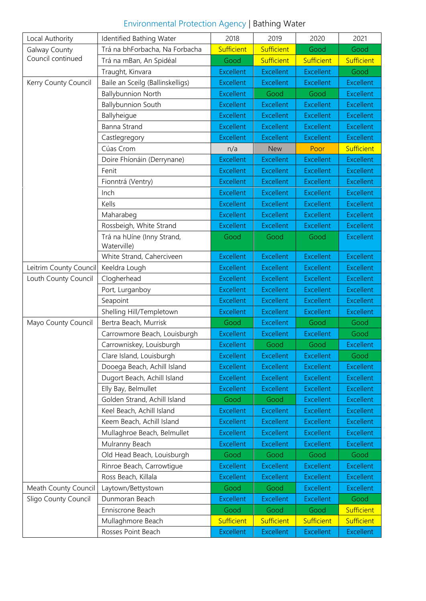| Environmental Protection Agency   Bathing Water |  |
|-------------------------------------------------|--|
|-------------------------------------------------|--|

| Local Authority                    | Identified Bathing Water         | 2018             | 2019             | 2020             | 2021             |
|------------------------------------|----------------------------------|------------------|------------------|------------------|------------------|
| Galway County<br>Council continued | Trá na bhForbacha, Na Forbacha   | Sufficient       | Sufficient       | Good             | Good             |
|                                    | Trá na mBan, An Spidéal          | Good             | Sufficient       | Sufficient       | Sufficient       |
|                                    | Traught, Kinvara                 | <b>Excellent</b> | <b>Excellent</b> | <b>Excellent</b> | Good             |
| Kerry County Council               | Baile an Sceilg (Ballinskelligs) | <b>Excellent</b> | <b>Excellent</b> | <b>Excellent</b> | <b>Excellent</b> |
|                                    | <b>Ballybunnion North</b>        | <b>Excellent</b> | Good             | Good             | <b>Excellent</b> |
|                                    | <b>Ballybunnion South</b>        | <b>Excellent</b> | <b>Excellent</b> | <b>Excellent</b> | <b>Excellent</b> |
|                                    | Ballyheigue                      | <b>Excellent</b> | <b>Excellent</b> | <b>Excellent</b> | <b>Excellent</b> |
|                                    | <b>Banna Strand</b>              | <b>Excellent</b> | <b>Excellent</b> | <b>Excellent</b> | <b>Excellent</b> |
|                                    | Castlegregory                    | <b>Excellent</b> | <b>Excellent</b> | <b>Excellent</b> | <b>Excellent</b> |
|                                    | Cúas Crom                        | n/a              | <b>New</b>       | Poor             | Sufficient       |
|                                    | Doire Fhíonáin (Derrynane)       | <b>Excellent</b> | <b>Excellent</b> | <b>Excellent</b> | <b>Excellent</b> |
|                                    | Fenit                            | <b>Excellent</b> | <b>Excellent</b> | <b>Excellent</b> | <b>Excellent</b> |
|                                    | Fionntrá (Ventry)                | <b>Excellent</b> | <b>Excellent</b> | <b>Excellent</b> | <b>Excellent</b> |
|                                    | Inch                             | <b>Excellent</b> | <b>Excellent</b> | <b>Excellent</b> | <b>Excellent</b> |
|                                    | Kells                            | <b>Excellent</b> | <b>Excellent</b> | <b>Excellent</b> | <b>Excellent</b> |
|                                    | Maharabeg                        | <b>Excellent</b> | <b>Excellent</b> | <b>Excellent</b> | <b>Excellent</b> |
|                                    | Rossbeigh, White Strand          | <b>Excellent</b> | <b>Excellent</b> | <b>Excellent</b> | <b>Excellent</b> |
|                                    | Trá na hUíne (Inny Strand,       | Good             | Good             | Good             | <b>Excellent</b> |
|                                    | Waterville)                      |                  |                  |                  |                  |
|                                    | White Strand, Caherciveen        | <b>Excellent</b> | <b>Excellent</b> | <b>Excellent</b> | <b>Excellent</b> |
| Leitrim County Council             | Keeldra Lough                    | <b>Excellent</b> | <b>Excellent</b> | <b>Excellent</b> | <b>Excellent</b> |
| Louth County Council               | Clogherhead                      | <b>Excellent</b> | <b>Excellent</b> | <b>Excellent</b> | <b>Excellent</b> |
|                                    | Port, Lurganboy                  | <b>Excellent</b> | <b>Excellent</b> | <b>Excellent</b> | <b>Excellent</b> |
|                                    | Seapoint                         | <b>Excellent</b> | <b>Excellent</b> | <b>Excellent</b> | <b>Excellent</b> |
|                                    | Shelling Hill/Templetown         | <b>Excellent</b> | <b>Excellent</b> | <b>Excellent</b> | <b>Excellent</b> |
| Mayo County Council                | Bertra Beach, Murrisk            | Good             | <b>Excellent</b> | Good             | Good             |
|                                    | Carrowmore Beach, Louisburgh     | <b>Excellent</b> | <b>Excellent</b> | <b>Excellent</b> | Good             |
|                                    | Carrowniskey, Louisburgh         | <b>Excellent</b> | Good             | Good             | <b>Excellent</b> |
|                                    | Clare Island, Louisburgh         | <b>Excellent</b> | <b>Excellent</b> | <b>Excellent</b> | Good             |
|                                    | Dooega Beach, Achill Island      | <b>Excellent</b> | <b>Excellent</b> | <b>Excellent</b> | <b>Excellent</b> |
|                                    | Dugort Beach, Achill Island      | <b>Excellent</b> | <b>Excellent</b> | <b>Excellent</b> | <b>Excellent</b> |
|                                    | Elly Bay, Belmullet              | <b>Excellent</b> | <b>Excellent</b> | <b>Excellent</b> | <b>Excellent</b> |
|                                    | Golden Strand, Achill Island     | Good             | Good             | <b>Excellent</b> | <b>Excellent</b> |
|                                    | Keel Beach, Achill Island        | <b>Excellent</b> | <b>Excellent</b> | <b>Excellent</b> | <b>Excellent</b> |
|                                    | Keem Beach, Achill Island        | <b>Excellent</b> | <b>Excellent</b> | <b>Excellent</b> | <b>Excellent</b> |
|                                    | Mullaghroe Beach, Belmullet      | <b>Excellent</b> | <b>Excellent</b> | <b>Excellent</b> | <b>Excellent</b> |
|                                    | Mulranny Beach                   | <b>Excellent</b> | <b>Excellent</b> | <b>Excellent</b> | <b>Excellent</b> |
|                                    | Old Head Beach, Louisburgh       | Good             | Good             | Good             | Good             |
|                                    | Rinroe Beach, Carrowtigue        | <b>Excellent</b> | <b>Excellent</b> | <b>Excellent</b> | <b>Excellent</b> |
|                                    | Ross Beach, Killala              | <b>Excellent</b> | <b>Excellent</b> | <b>Excellent</b> | <b>Excellent</b> |
| Meath County Council               | Laytown/Bettystown               | Good             | Good             | <b>Excellent</b> | <b>Excellent</b> |
| Sligo County Council               | Dunmoran Beach                   | <b>Excellent</b> | <b>Excellent</b> | <b>Excellent</b> | Good             |
|                                    | Enniscrone Beach                 | Good             | Good             | Good             | Sufficient       |
|                                    | Mullaghmore Beach                | Sufficient       | Sufficient       | Sufficient       | Sufficient       |
|                                    | Rosses Point Beach               | <b>Excellent</b> | <b>Excellent</b> | <b>Excellent</b> | <b>Excellent</b> |